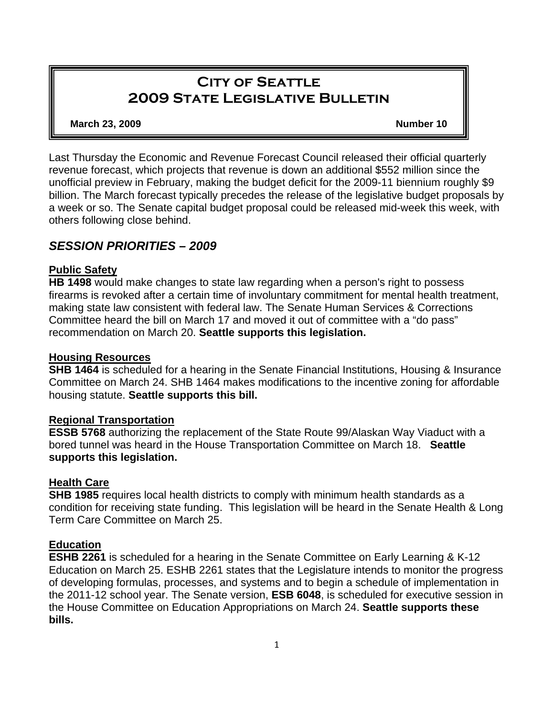# **City of Seattle 2009 State Legislative Bulletin**

**March 23, 2009 Number 10 Number 10** 

Last Thursday the Economic and Revenue Forecast Council released their official quarterly revenue forecast, which projects that revenue is down an additional \$552 million since the unofficial preview in February, making the budget deficit for the 2009-11 biennium roughly \$9 billion. The March forecast typically precedes the release of the legislative budget proposals by a week or so. The Senate capital budget proposal could be released mid-week this week, with others following close behind.

## *SESSION PRIORITIES – 2009*

## **Public Safety**

**HB 1498** would make changes to state law regarding when a person's right to possess firearms is revoked after a certain time of involuntary commitment for mental health treatment, making state law consistent with federal law. The Senate Human Services & Corrections Committee heard the bill on March 17 and moved it out of committee with a "do pass" recommendation on March 20. **Seattle supports this legislation.**

## **Housing Resources**

**SHB 1464** is scheduled for a hearing in the Senate Financial Institutions, Housing & Insurance Committee on March 24. SHB 1464 makes modifications to the incentive zoning for affordable housing statute. **Seattle supports this bill.** 

## **Regional Transportation**

**ESSB 5768** authorizing the replacement of the State Route 99/Alaskan Way Viaduct with a bored tunnel was heard in the House Transportation Committee on March 18. **Seattle supports this legislation.** 

## **Health Care**

**SHB 1985** requires local health districts to comply with minimum health standards as a condition for receiving state funding. This legislation will be heard in the Senate Health & Long Term Care Committee on March 25.

## **Education**

**ESHB 2261** is scheduled for a hearing in the Senate Committee on Early Learning & K-12 Education on March 25. ESHB 2261 states that the Legislature intends to monitor the progress of developing formulas, processes, and systems and to begin a schedule of implementation in the 2011-12 school year. The Senate version, **ESB 6048**, is scheduled for executive session in the House Committee on Education Appropriations on March 24. **Seattle supports these bills.**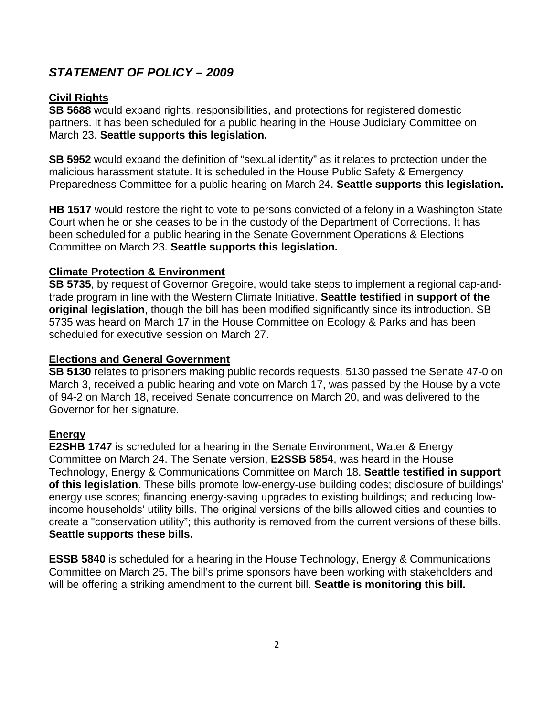# *STATEMENT OF POLICY – 2009*

## **Civil Rights**

**SB 5688** would expand rights, responsibilities, and protections for registered domestic partners. It has been scheduled for a public hearing in the House Judiciary Committee on March 23. **Seattle supports this legislation.**

**SB 5952** would expand the definition of "sexual identity" as it relates to protection under the malicious harassment statute. It is scheduled in the House Public Safety & Emergency Preparedness Committee for a public hearing on March 24. **Seattle supports this legislation.** 

**HB 1517** would restore the right to vote to persons convicted of a felony in a Washington State Court when he or she ceases to be in the custody of the Department of Corrections. It has been scheduled for a public hearing in the Senate Government Operations & Elections Committee on March 23. **Seattle supports this legislation.**

## **Climate Protection & Environment**

**SB 5735**, by request of Governor Gregoire, would take steps to implement a regional cap-andtrade program in line with the Western Climate Initiative. **Seattle testified in support of the original legislation**, though the bill has been modified significantly since its introduction. SB 5735 was heard on March 17 in the House Committee on Ecology & Parks and has been scheduled for executive session on March 27.

#### **Elections and General Government**

**SB 5130** relates to prisoners making public records requests. 5130 passed the Senate 47-0 on March 3, received a public hearing and vote on March 17, was passed by the House by a vote of 94-2 on March 18, received Senate concurrence on March 20, and was delivered to the Governor for her signature.

## **Energy**

**E2SHB 1747** is scheduled for a hearing in the Senate Environment, Water & Energy Committee on March 24. The Senate version, **E2SSB 5854**, was heard in the House Technology, Energy & Communications Committee on March 18. **Seattle testified in support of this legislation**. These bills promote low-energy-use building codes; disclosure of buildings' energy use scores; financing energy-saving upgrades to existing buildings; and reducing lowincome households' utility bills. The original versions of the bills allowed cities and counties to create a "conservation utility"; this authority is removed from the current versions of these bills. **Seattle supports these bills.** 

**ESSB 5840** is scheduled for a hearing in the House Technology, Energy & Communications Committee on March 25. The bill's prime sponsors have been working with stakeholders and will be offering a striking amendment to the current bill. **Seattle is monitoring this bill.**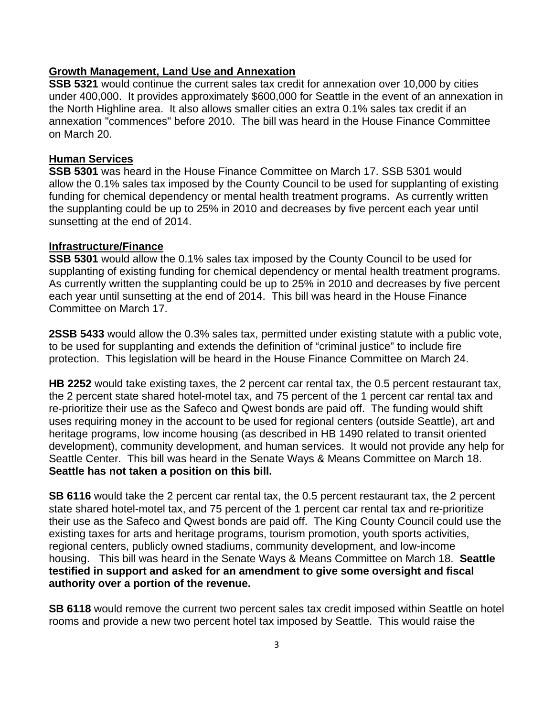#### **Growth Management, Land Use and Annexation**

**SSB 5321** would continue the current sales tax credit for annexation over 10,000 by cities under 400,000. It provides approximately \$600,000 for Seattle in the event of an annexation in the North Highline area. It also allows smaller cities an extra 0.1% sales tax credit if an annexation "commences" before 2010. The bill was heard in the House Finance Committee on March 20.

#### **Human Services**

**SSB 5301** was heard in the House Finance Committee on March 17. SSB 5301 would allow the 0.1% sales tax imposed by the County Council to be used for supplanting of existing funding for chemical dependency or mental health treatment programs. As currently written the supplanting could be up to 25% in 2010 and decreases by five percent each year until sunsetting at the end of 2014.

#### **Infrastructure/Finance**

**SSB 5301** would allow the 0.1% sales tax imposed by the County Council to be used for supplanting of existing funding for chemical dependency or mental health treatment programs. As currently written the supplanting could be up to 25% in 2010 and decreases by five percent each year until sunsetting at the end of 2014. This bill was heard in the House Finance Committee on March 17.

**2SSB 5433** would allow the 0.3% sales tax, permitted under existing statute with a public vote, to be used for supplanting and extends the definition of "criminal justice" to include fire protection. This legislation will be heard in the House Finance Committee on March 24.

**HB 2252** would take existing taxes, the 2 percent car rental tax, the 0.5 percent restaurant tax, the 2 percent state shared hotel-motel tax, and 75 percent of the 1 percent car rental tax and re-prioritize their use as the Safeco and Qwest bonds are paid off. The funding would shift uses requiring money in the account to be used for regional centers (outside Seattle), art and heritage programs, low income housing (as described in HB 1490 related to transit oriented development), community development, and human services. It would not provide any help for Seattle Center. This bill was heard in the Senate Ways & Means Committee on March 18. **Seattle has not taken a position on this bill.**

**SB 6116** would take the 2 percent car rental tax, the 0.5 percent restaurant tax, the 2 percent state shared hotel-motel tax, and 75 percent of the 1 percent car rental tax and re-prioritize their use as the Safeco and Qwest bonds are paid off. The King County Council could use the existing taxes for arts and heritage programs, tourism promotion, youth sports activities, regional centers, publicly owned stadiums, community development, and low-income housing. This bill was heard in the Senate Ways & Means Committee on March 18. **Seattle testified in support and asked for an amendment to give some oversight and fiscal authority over a portion of the revenue.**

**SB 6118** would remove the current two percent sales tax credit imposed within Seattle on hotel rooms and provide a new two percent hotel tax imposed by Seattle. This would raise the